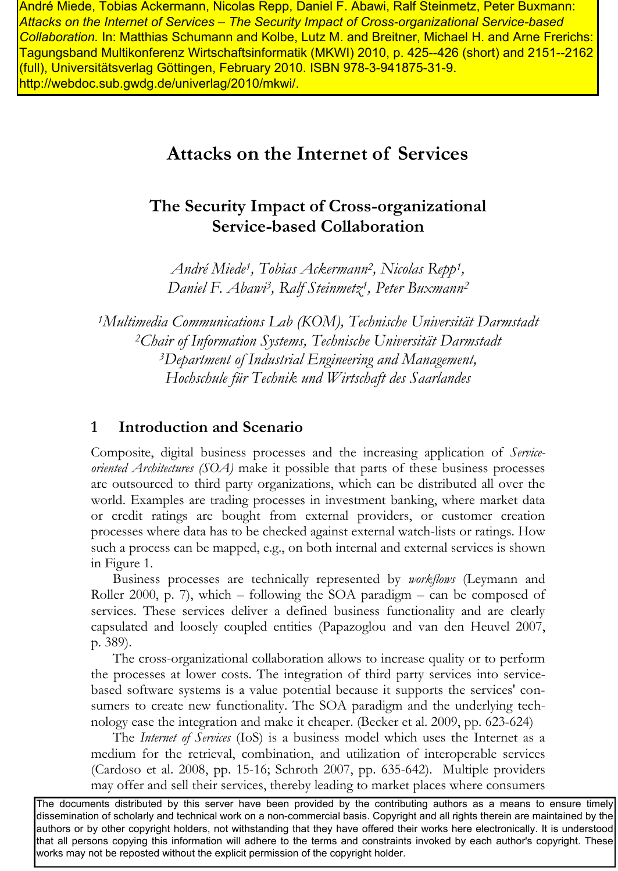http://webdoc.sub.gwdg.de/univerlag/2010/mkwi/.com/windows/web/2010/mk/min/windows/ *Attacks on the Internet of Services – The Security Impact of Cross-organizational Service-based Collaboration.* In: Matthias Schumann and Kolbe, Lutz M. and Breitner, Michael H. and Arne Frerichs: Tagungsband Multikonferenz Wirtschaftsinformatik (MKWI) 2010, p. 425--426 (short) and 2151--2162 (full), Universitätsverlag Göttingen, February 2010. ISBN 978-3-941875-31-9.

# **Attacks on the Internet of Services**

# **The Security Impact of Cross-organizational Service-based Collaboration**

*André Miede<sup>1</sup> , Tobias Ackermann<sup>2</sup> , Nicolas Repp<sup>1</sup> , Daniel F. Abawi<sup>3</sup> , Ralf Steinmetz<sup>1</sup> , Peter Buxmann<sup>2</sup>*

*Multimedia Communications Lab (KOM), Technische Universität Darmstadt Chair of Information Systems, Technische Universität Darmstadt Department of Industrial Engineering and Management, Hochschule für Technik und Wirtschaft des Saarlandes*

# **1 Introduction and Scenario**

Composite, digital business processes and the increasing application of *Serviceoriented Architectures (SOA)* make it possible that parts of these business processes are outsourced to third party organizations, which can be distributed all over the world. Examples are trading processes in investment banking, where market data or credit ratings are bought from external providers, or customer creation processes where data has to be checked against external watch-lists or ratings. How such a process can be mapped, e.g., on both internal and external services is shown in [Figure 1.](#page-1-0) And the internal may be consumed the mattern and sell the market places where the model theoretic their places where  $\theta$  and  $\theta$  and  $\theta$  and  $\theta$  and  $\theta$  and  $\theta$  and  $\theta$  and  $\theta$  and  $\theta$  and  $\theta$  and  $\theta$  and  $\theta$ 

Business processes are technically represented by *workflows* (Leymann and Roller 2000, p. 7), which – following the SOA paradigm – can be composed of services. These services deliver a defined business functionality and are clearly capsulated and loosely coupled entities (Papazoglou and van den Heuvel 2007, p. 389).

The cross-organizational collaboration allows to increase quality or to perform the processes at lower costs. The integration of third party services into servicebased software systems is a value potential because it supports the services' consumers to create new functionality. The SOA paradigm and the underlying technology ease the integration and make it cheaper. (Becker et al. 2009, pp. 623-624)

The *Internet of Services* (IoS) is a business model which uses the Internet as a medium for the retrieval, combination, and utilization of interoperable services (Cardoso et al. 2008, pp. 15-16; Schroth 2007, pp. 635-642). Multiple providers

The documents distributed by this server have been provided by the contributing authors as a means to ensure timely dissemination of scholarly and technical work on a non-commercial basis. Copyright and all rights therein are maintained by the authors or by other copyright holders, not withstanding that they have offered their works here electronically. It is understood that all persons copying this information will adhere to the terms and constraints invoked by each author's copyright. These works may not be reposted without the explicit permission of the copyright holder.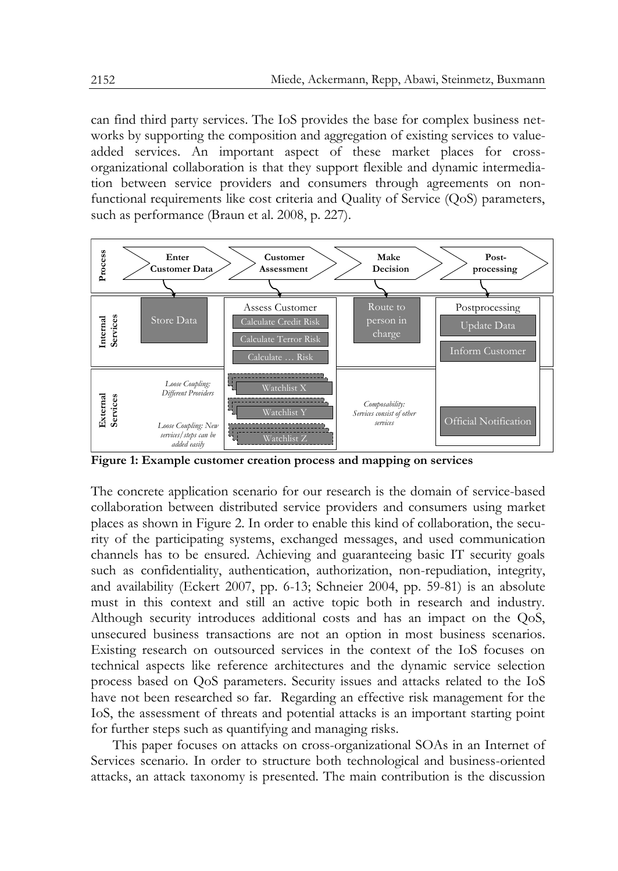can find third party services. The IoS provides the base for complex business networks by supporting the composition and aggregation of existing services to valueadded services. An important aspect of these market places for crossorganizational collaboration is that they support flexible and dynamic intermediation between service providers and consumers through agreements on nonfunctional requirements like cost criteria and Quality of Service (QoS) parameters, such as performance (Braun et al. 2008, p. 227).



<span id="page-1-0"></span>**Figure 1: Example customer creation process and mapping on services**

The concrete application scenario for our research is the domain of service-based collaboration between distributed service providers and consumers using market places as shown in [Figure 2.](#page-2-0) In order to enable this kind of collaboration, the security of the participating systems, exchanged messages, and used communication channels has to be ensured. Achieving and guaranteeing basic IT security goals such as confidentiality, authentication, authorization, non-repudiation, integrity, and availability (Eckert 2007, pp. 6-13; Schneier 2004, pp. 59-81) is an absolute must in this context and still an active topic both in research and industry. Although security introduces additional costs and has an impact on the QoS, unsecured business transactions are not an option in most business scenarios. Existing research on outsourced services in the context of the IoS focuses on technical aspects like reference architectures and the dynamic service selection process based on QoS parameters. Security issues and attacks related to the IoS have not been researched so far. Regarding an effective risk management for the IoS, the assessment of threats and potential attacks is an important starting point for further steps such as quantifying and managing risks.

This paper focuses on attacks on cross-organizational SOAs in an Internet of Services scenario. In order to structure both technological and business-oriented attacks, an attack taxonomy is presented. The main contribution is the discussion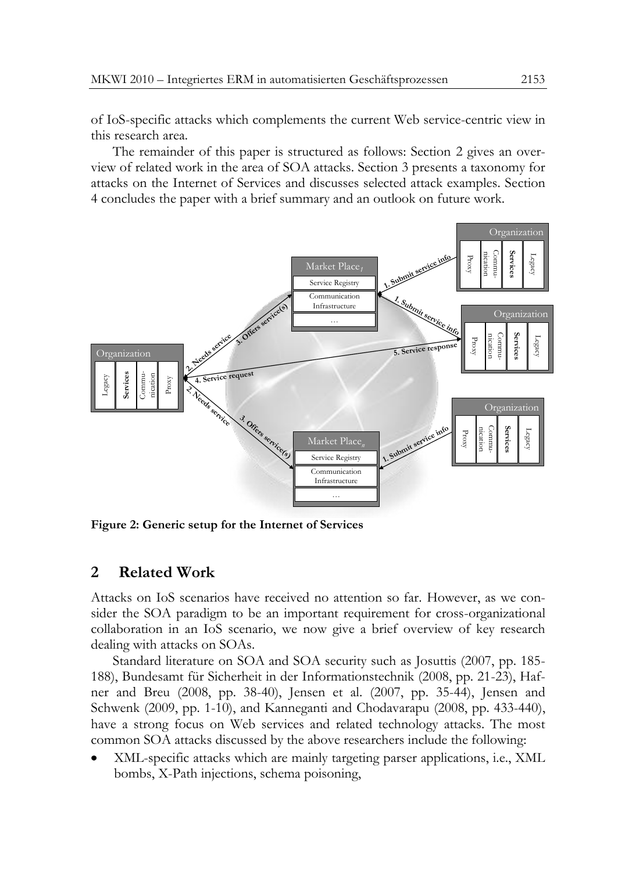of IoS-specific attacks which complements the current Web service-centric view in this research area.

The remainder of this paper is structured as follows: Section [2](#page-2-1) gives an overview of related work in the area of SOA attacks. Section [3](#page-3-0) presents a taxonomy for attacks on the Internet of Services and discusses selected attack examples. Section [4](#page-9-0) concludes the paper with a brief summary and an outlook on future work.



<span id="page-2-1"></span><span id="page-2-0"></span>**Figure 2: Generic setup for the Internet of Services**

# **2 Related Work**

Attacks on IoS scenarios have received no attention so far. However, as we consider the SOA paradigm to be an important requirement for cross-organizational collaboration in an IoS scenario, we now give a brief overview of key research dealing with attacks on SOAs.

Standard literature on SOA and SOA security such as Josuttis (2007, pp. 185- 188), Bundesamt für Sicherheit in der Informationstechnik (2008, pp. 21-23), Hafner and Breu (2008, pp. 38-40), Jensen et al. (2007, pp. 35-44), Jensen and Schwenk (2009, pp. 1-10), and Kanneganti and Chodavarapu (2008, pp. 433-440), have a strong focus on Web services and related technology attacks. The most common SOA attacks discussed by the above researchers include the following:

XML-specific attacks which are mainly targeting parser applications, i.e., XML bombs, X-Path injections, schema poisoning,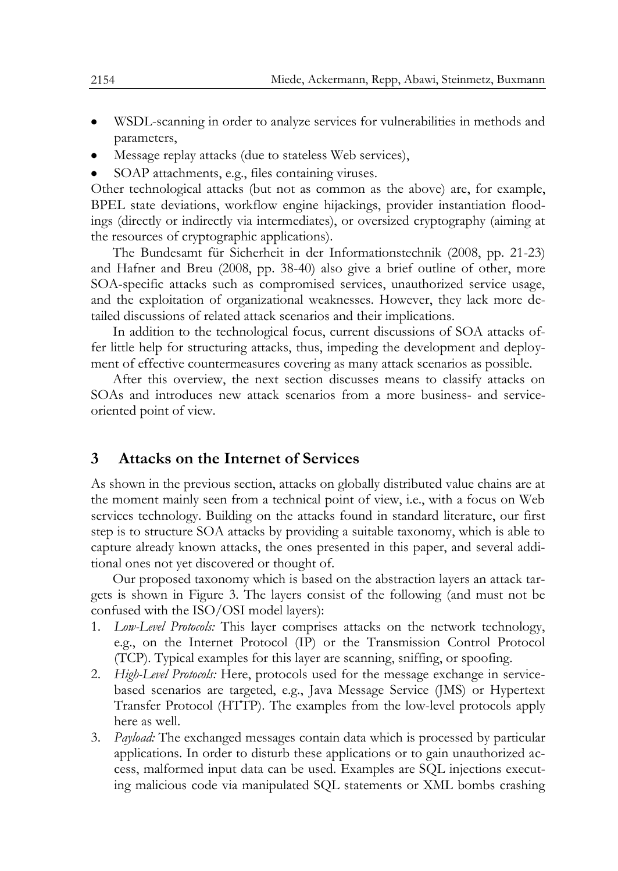- WSDL-scanning in order to analyze services for vulnerabilities in methods and parameters,
- Message replay attacks (due to stateless Web services),
- SOAP attachments, e.g., files containing viruses.

Other technological attacks (but not as common as the above) are, for example, BPEL state deviations, workflow engine hijackings, provider instantiation floodings (directly or indirectly via intermediates), or oversized cryptography (aiming at the resources of cryptographic applications).

The Bundesamt für Sicherheit in der Informationstechnik (2008, pp. 21-23) and Hafner and Breu (2008, pp. 38-40) also give a brief outline of other, more SOA-specific attacks such as compromised services, unauthorized service usage, and the exploitation of organizational weaknesses. However, they lack more detailed discussions of related attack scenarios and their implications.

In addition to the technological focus, current discussions of SOA attacks offer little help for structuring attacks, thus, impeding the development and deployment of effective countermeasures covering as many attack scenarios as possible.

After this overview, the next section discusses means to classify attacks on SOAs and introduces new attack scenarios from a more business- and serviceoriented point of view.

# <span id="page-3-0"></span>**3 Attacks on the Internet of Services**

As shown in the previous section, attacks on globally distributed value chains are at the moment mainly seen from a technical point of view, i.e., with a focus on Web services technology. Building on the attacks found in standard literature, our first step is to structure SOA attacks by providing a suitable taxonomy, which is able to capture already known attacks, the ones presented in this paper, and several additional ones not yet discovered or thought of.

Our proposed taxonomy which is based on the abstraction layers an attack targets is shown in [Figure 3.](#page-4-0) The layers consist of the following (and must not be confused with the ISO/OSI model layers):

- 1. *Low-Level Protocols:* This layer comprises attacks on the network technology, e.g., on the Internet Protocol (IP) or the Transmission Control Protocol (TCP). Typical examples for this layer are scanning, sniffing, or spoofing.
- 2. *High-Level Protocols:* Here, protocols used for the message exchange in servicebased scenarios are targeted, e.g., Java Message Service (JMS) or Hypertext Transfer Protocol (HTTP). The examples from the low-level protocols apply here as well.
- 3. *Payload:* The exchanged messages contain data which is processed by particular applications. In order to disturb these applications or to gain unauthorized access, malformed input data can be used. Examples are SQL injections executing malicious code via manipulated SQL statements or XML bombs crashing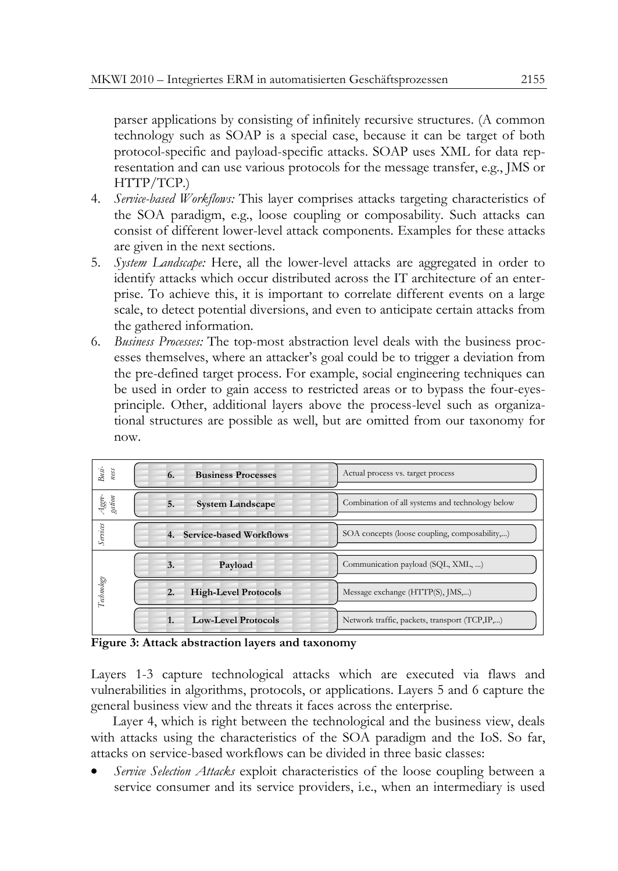parser applications by consisting of infinitely recursive structures. (A common technology such as SOAP is a special case, because it can be target of both protocol-specific and payload-specific attacks. SOAP uses XML for data representation and can use various protocols for the message transfer, e.g., JMS or HTTP/TCP.)

- 4. *Service-based Workflows:* This layer comprises attacks targeting characteristics of the SOA paradigm, e.g., loose coupling or composability. Such attacks can consist of different lower-level attack components. Examples for these attacks are given in the next sections.
- 5. *System Landscape:* Here, all the lower-level attacks are aggregated in order to identify attacks which occur distributed across the IT architecture of an enterprise. To achieve this, it is important to correlate different events on a large scale, to detect potential diversions, and even to anticipate certain attacks from the gathered information.
- 6. *Business Processes:* The top-most abstraction level deals with the business processes themselves, where an attacker's goal could be to trigger a deviation from the pre-defined target process. For example, social engineering techniques can be used in order to gain access to restricted areas or to bypass the four-eyesprinciple. Other, additional layers above the process-level such as organizational structures are possible as well, but are omitted from our taxonomy for now.

| $B_{KSI}$ -<br>ness | <b>Business Processes</b><br>6.                 | Actual process vs. target process               |
|---------------------|-------------------------------------------------|-------------------------------------------------|
| Aggre-<br>gation    | <b>System Landscape</b><br>5.                   | Combination of all systems and technology below |
| Services            | 4. Service-based Workflows                      | SOA concepts (loose coupling, composability,)   |
|                     |                                                 |                                                 |
|                     | Payload<br>3.                                   | Communication payload (SQL, XML, )              |
| Technology          | <b>High-Level Protocols</b><br>$\overline{2}$ . | Message exchange (HTTP(S), JMS,)                |

<span id="page-4-0"></span>**Figure 3: Attack abstraction layers and taxonomy**

Layers 1-3 capture technological attacks which are executed via flaws and vulnerabilities in algorithms, protocols, or applications. Layers 5 and 6 capture the general business view and the threats it faces across the enterprise.

Layer 4, which is right between the technological and the business view, deals with attacks using the characteristics of the SOA paradigm and the IoS. So far, attacks on service-based workflows can be divided in three basic classes:

*Service Selection Attacks* exploit characteristics of the loose coupling between a service consumer and its service providers, i.e., when an intermediary is used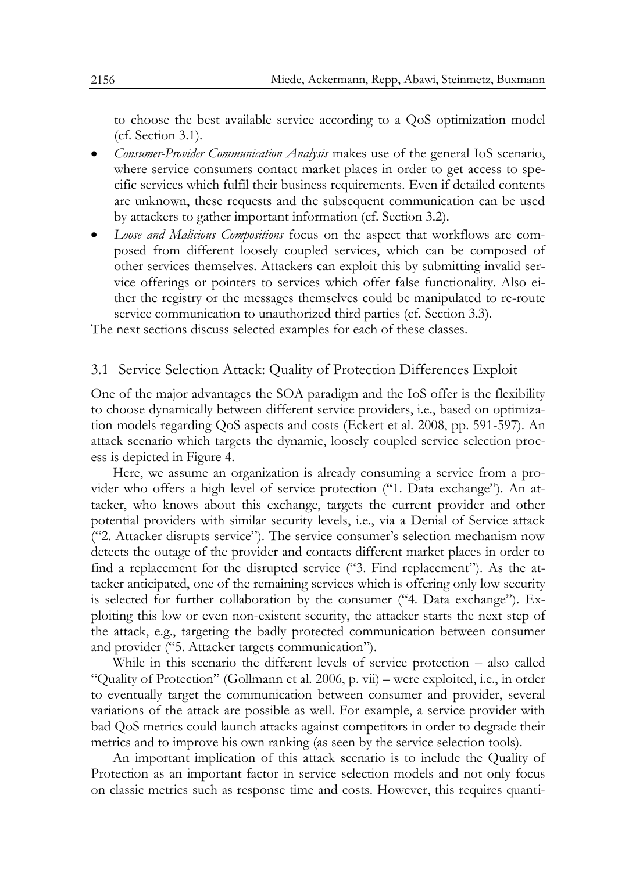to choose the best available service according to a QoS optimization model (cf. Section [3.1\)](#page-5-0).

- *Consumer-Provider Communication Analysis* makes use of the general IoS scenario, where service consumers contact market places in order to get access to specific services which fulfil their business requirements. Even if detailed contents are unknown, these requests and the subsequent communication can be used by attackers to gather important information (cf. Section [3.2\)](#page-6-0).
- *Loose and Malicious Compositions* focus on the aspect that workflows are composed from different loosely coupled services, which can be composed of other services themselves. Attackers can exploit this by submitting invalid service offerings or pointers to services which offer false functionality. Also either the registry or the messages themselves could be manipulated to re-route service communication to unauthorized third parties (cf. Section [3.3\)](#page-7-0).

<span id="page-5-0"></span>The next sections discuss selected examples for each of these classes.

#### 3.1 Service Selection Attack: Quality of Protection Differences Exploit

One of the major advantages the SOA paradigm and the IoS offer is the flexibility to choose dynamically between different service providers, i.e., based on optimization models regarding QoS aspects and costs (Eckert et al. 2008, pp. 591-597). An attack scenario which targets the dynamic, loosely coupled service selection process is depicted in [Figure 4.](#page-6-1)

Here, we assume an organization is already consuming a service from a provider who offers a high level of service protection ("1. Data exchange"). An attacker, who knows about this exchange, targets the current provider and other potential providers with similar security levels, i.e., via a Denial of Service attack ("2. Attacker disrupts service"). The service consumer's selection mechanism now detects the outage of the provider and contacts different market places in order to find a replacement for the disrupted service ("3. Find replacement"). As the attacker anticipated, one of the remaining services which is offering only low security is selected for further collaboration by the consumer ("4. Data exchange"). Exploiting this low or even non-existent security, the attacker starts the next step of the attack, e.g., targeting the badly protected communication between consumer and provider ("5. Attacker targets communication").

While in this scenario the different levels of service protection – also called "Quality of Protection" (Gollmann et al. 2006, p. vii) – were exploited, i.e., in order to eventually target the communication between consumer and provider, several variations of the attack are possible as well. For example, a service provider with bad QoS metrics could launch attacks against competitors in order to degrade their metrics and to improve his own ranking (as seen by the service selection tools).

An important implication of this attack scenario is to include the Quality of Protection as an important factor in service selection models and not only focus on classic metrics such as response time and costs. However, this requires quanti-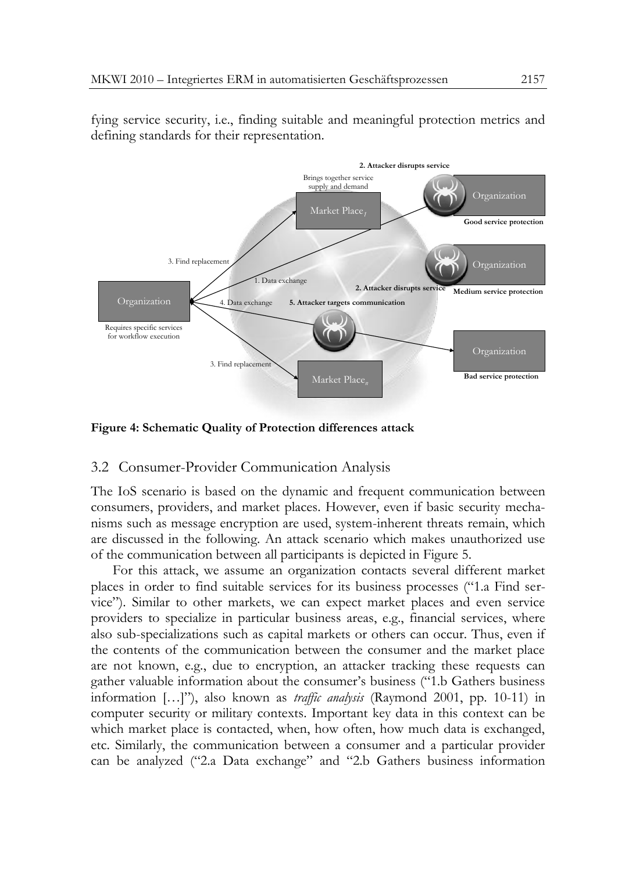



<span id="page-6-1"></span><span id="page-6-0"></span>**Figure 4: Schematic Quality of Protection differences attack**

#### 3.2 Consumer-Provider Communication Analysis

The IoS scenario is based on the dynamic and frequent communication between consumers, providers, and market places. However, even if basic security mechanisms such as message encryption are used, system-inherent threats remain, which are discussed in the following. An attack scenario which makes unauthorized use of the communication between all participants is depicted in [Figure 5.](#page-7-1)

For this attack, we assume an organization contacts several different market places in order to find suitable services for its business processes ("1.a Find service"). Similar to other markets, we can expect market places and even service providers to specialize in particular business areas, e.g., financial services, where also sub-specializations such as capital markets or others can occur. Thus, even if the contents of the communication between the consumer and the market place are not known, e.g., due to encryption, an attacker tracking these requests can gather valuable information about the consumer's business ("1.b Gathers business information […]"), also known as *traffic analysis* (Raymond 2001, pp. 10-11) in computer security or military contexts. Important key data in this context can be which market place is contacted, when, how often, how much data is exchanged, etc. Similarly, the communication between a consumer and a particular provider can be analyzed ("2.a Data exchange" and "2.b Gathers business information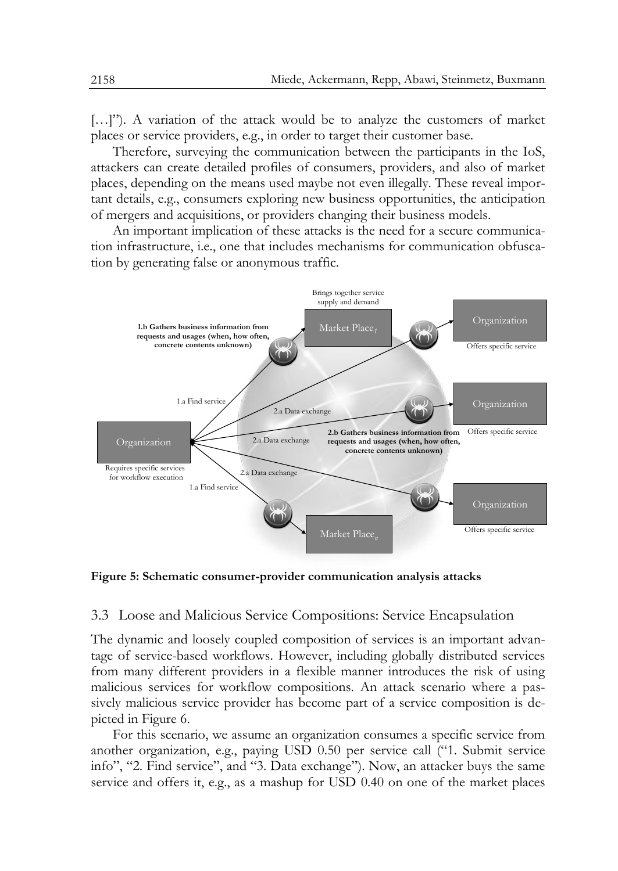[...]"). A variation of the attack would be to analyze the customers of market places or service providers, e.g., in order to target their customer base.

Therefore, surveying the communication between the participants in the IoS, attackers can create detailed profiles of consumers, providers, and also of market places, depending on the means used maybe not even illegally. These reveal important details, e.g., consumers exploring new business opportunities, the anticipation of mergers and acquisitions, or providers changing their business models.

An important implication of these attacks is the need for a secure communication infrastructure, i.e., one that includes mechanisms for communication obfuscation by generating false or anonymous traffic.



<span id="page-7-1"></span><span id="page-7-0"></span>**Figure 5: Schematic consumer-provider communication analysis attacks**

#### 3.3 Loose and Malicious Service Compositions: Service Encapsulation

The dynamic and loosely coupled composition of services is an important advantage of service-based workflows. However, including globally distributed services from many different providers in a flexible manner introduces the risk of using malicious services for workflow compositions. An attack scenario where a passively malicious service provider has become part of a service composition is depicted in [Figure 6.](#page-8-0)

For this scenario, we assume an organization consumes a specific service from another organization, e.g., paying USD 0.50 per service call ("1. Submit service info", "2. Find service", and "3. Data exchange"). Now, an attacker buys the same service and offers it, e.g., as a mashup for USD 0.40 on one of the market places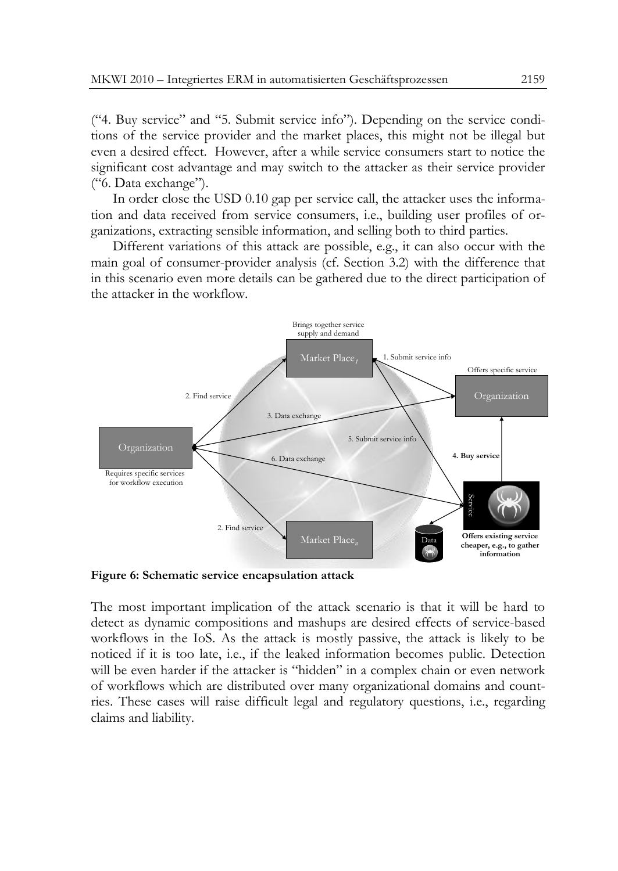("4. Buy service" and "5. Submit service info"). Depending on the service conditions of the service provider and the market places, this might not be illegal but even a desired effect. However, after a while service consumers start to notice the significant cost advantage and may switch to the attacker as their service provider ("6. Data exchange").

In order close the USD 0.10 gap per service call, the attacker uses the information and data received from service consumers, i.e., building user profiles of organizations, extracting sensible information, and selling both to third parties.

Different variations of this attack are possible, e.g., it can also occur with the main goal of consumer-provider analysis (cf. Section [3.2\)](#page-6-0) with the difference that in this scenario even more details can be gathered due to the direct participation of the attacker in the workflow.



<span id="page-8-0"></span>**Figure 6: Schematic service encapsulation attack**

The most important implication of the attack scenario is that it will be hard to detect as dynamic compositions and mashups are desired effects of service-based workflows in the IoS. As the attack is mostly passive, the attack is likely to be noticed if it is too late, i.e., if the leaked information becomes public. Detection will be even harder if the attacker is "hidden" in a complex chain or even network of workflows which are distributed over many organizational domains and countries. These cases will raise difficult legal and regulatory questions, i.e., regarding claims and liability.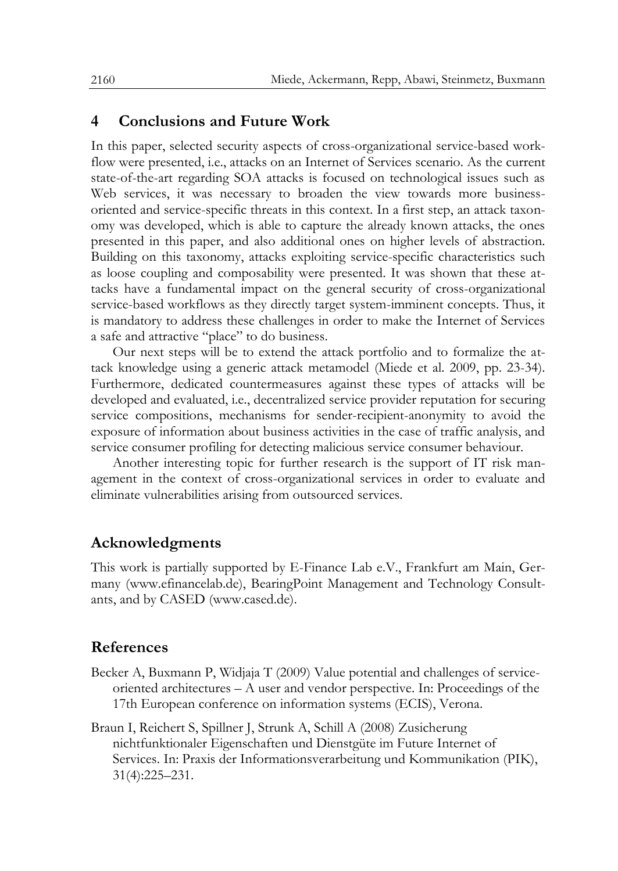### <span id="page-9-0"></span>**4 Conclusions and Future Work**

In this paper, selected security aspects of cross-organizational service-based workflow were presented, i.e., attacks on an Internet of Services scenario. As the current state-of-the-art regarding SOA attacks is focused on technological issues such as Web services, it was necessary to broaden the view towards more businessoriented and service-specific threats in this context. In a first step, an attack taxonomy was developed, which is able to capture the already known attacks, the ones presented in this paper, and also additional ones on higher levels of abstraction. Building on this taxonomy, attacks exploiting service-specific characteristics such as loose coupling and composability were presented. It was shown that these attacks have a fundamental impact on the general security of cross-organizational service-based workflows as they directly target system-imminent concepts. Thus, it is mandatory to address these challenges in order to make the Internet of Services a safe and attractive "place" to do business.

Our next steps will be to extend the attack portfolio and to formalize the attack knowledge using a generic attack metamodel (Miede et al. 2009, pp. 23-34). Furthermore, dedicated countermeasures against these types of attacks will be developed and evaluated, i.e., decentralized service provider reputation for securing service compositions, mechanisms for sender-recipient-anonymity to avoid the exposure of information about business activities in the case of traffic analysis, and service consumer profiling for detecting malicious service consumer behaviour.

Another interesting topic for further research is the support of IT risk management in the context of cross-organizational services in order to evaluate and eliminate vulnerabilities arising from outsourced services.

# **Acknowledgments**

This work is partially supported by E-Finance Lab e.V., Frankfurt am Main, Germany (www.efinancelab.de), BearingPoint Management and Technology Consultants, and by CASED (www.cased.de).

# **References**

- Becker A, Buxmann P, Widjaja T (2009) Value potential and challenges of serviceoriented architectures – A user and vendor perspective. In: Proceedings of the 17th European conference on information systems (ECIS), Verona.
- Braun I, Reichert S, Spillner J, Strunk A, Schill A (2008) Zusicherung nichtfunktionaler Eigenschaften und Dienstgüte im Future Internet of Services. In: Praxis der Informationsverarbeitung und Kommunikation (PIK), 31(4):225–231.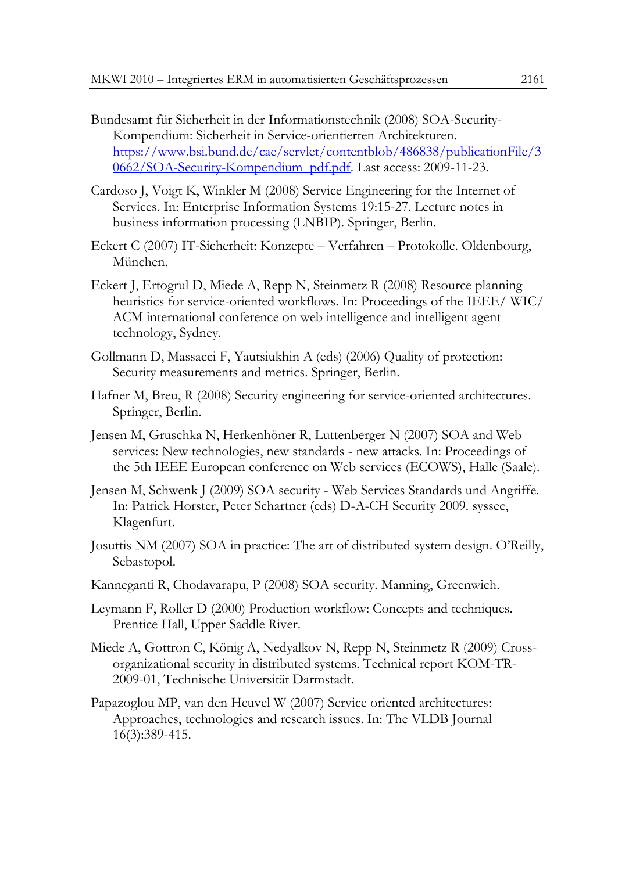- Bundesamt für Sicherheit in der Informationstechnik (2008) SOA-Security-Kompendium: Sicherheit in Service-orientierten Architekturen. [https://www.bsi.bund.de/cae/servlet/contentblob/486838/publicationFile/3](https://www.bsi.bund.de/cae/servlet/contentblob/486838/publicationFile/30662/SOA-Security-Kompendium_pdf.pdf) [0662/SOA-Security-Kompendium\\_pdf.pdf.](https://www.bsi.bund.de/cae/servlet/contentblob/486838/publicationFile/30662/SOA-Security-Kompendium_pdf.pdf) Last access: 2009-11-23.
- Cardoso J, Voigt K, Winkler M (2008) Service Engineering for the Internet of Services. In: Enterprise Information Systems 19:15-27. Lecture notes in business information processing (LNBIP). Springer, Berlin.
- Eckert C (2007) IT-Sicherheit: Konzepte Verfahren Protokolle. Oldenbourg, München.
- Eckert J, Ertogrul D, Miede A, Repp N, Steinmetz R (2008) Resource planning heuristics for service-oriented workflows. In: Proceedings of the IEEE/ WIC/ ACM international conference on web intelligence and intelligent agent technology, Sydney.
- Gollmann D, Massacci F, Yautsiukhin A (eds) (2006) Quality of protection: Security measurements and metrics. Springer, Berlin.
- Hafner M, Breu, R (2008) Security engineering for service-oriented architectures. Springer, Berlin.
- Jensen M, Gruschka N, Herkenhöner R, Luttenberger N (2007) SOA and Web services: New technologies, new standards - new attacks. In: Proceedings of the 5th IEEE European conference on Web services (ECOWS), Halle (Saale).
- Jensen M, Schwenk J (2009) SOA security Web Services Standards und Angriffe. In: Patrick Horster, Peter Schartner (eds) D-A-CH Security 2009. syssec, Klagenfurt.
- Josuttis NM (2007) SOA in practice: The art of distributed system design. O'Reilly, Sebastopol.
- Kanneganti R, Chodavarapu, P (2008) SOA security. Manning, Greenwich.
- Leymann F, Roller D (2000) Production workflow: Concepts and techniques. Prentice Hall, Upper Saddle River.
- Miede A, Gottron C, König A, Nedyalkov N, Repp N, Steinmetz R (2009) Crossorganizational security in distributed systems. Technical report KOM-TR-2009-01, Technische Universität Darmstadt.
- Papazoglou MP, van den Heuvel W (2007) Service oriented architectures: Approaches, technologies and research issues. In: The VLDB Journal 16(3):389-415.